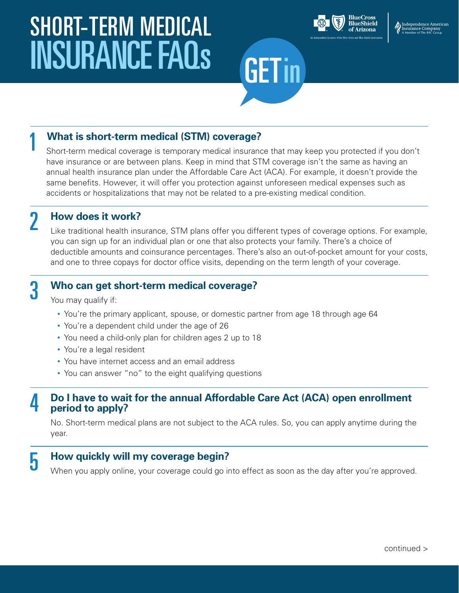# SHORT-TERM MEDICAL INSURANCE FAQS GET in



# 1 **What is short-term medical (STM) coverage?**

 Short-term medical coverage is temporary medical insurance that may keep you protected if you don't have insurance or are between plans. Keep in mind that STM coverage isn't the same as having an annual health insurance plan under the Affordable Care Act (ACA). For example, it doesn't provide the same benefits. However, it will offer you protection against unforeseen medical expenses such as accidents or hospitalizations that may not be related to a pre-existing medical condition.

2 **How does it work?**

Like traditional health insurance, STM plans offer you different types of coverage options. For example, you can sign up for an individual plan or one that also protects your family. There's a choice of deductible amounts and coinsurance percentages. There's also an out-of-pocket amount for your costs, and one to three copays for doctor office visits, depending on the term length of your coverage.

#### 3  **Who can get short-term medical coverage?**

You may qualify if:

- You're the primary applicant, spouse, or domestic partner from age 18 through age 64
- You're a dependent child under the age of 26
- You need a child-only plan for children ages 2 up to 18
- You're a legal resident
- You have internet access and an email address
- You can answer "no" to the eight qualifying questions

#### 4  **Do I have to wait for the annual Affordable Care Act (ACA) open enrollment period to apply?**

No. Short-term medical plans are not subject to the ACA rules. So, you can apply anytime during the year.

#### 5  **How quickly will my coverage begin?**

When you apply online, your coverage could go into effect as soon as the day after you're approved.